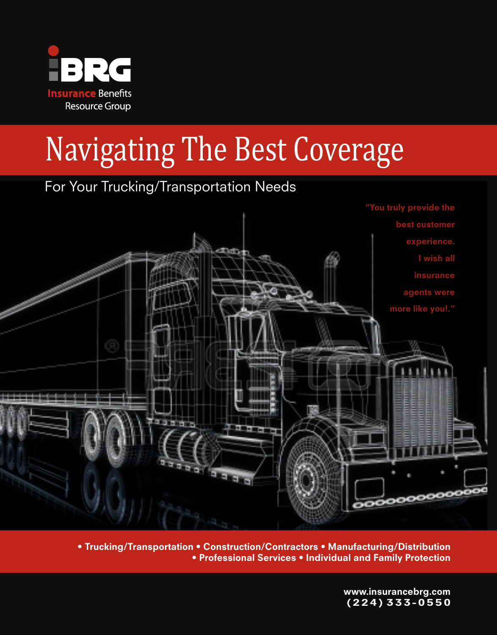

# Navigating The Best Coverage

### For Your Trucking/Transportation Needs



For Trucking/Transportation ● Construction/Contractors ● Manufacturing/Distribution ●<br>• Professional Services ● Individual and Family Protection ● • Trucking/Transportation • Construction/Contractors • Manufacturing/Distribution • Professional Services • Individual and Family Protection

> www.insurancebrg.com ( 2 2 4 ) 3 3 3 - 0 5 5 0